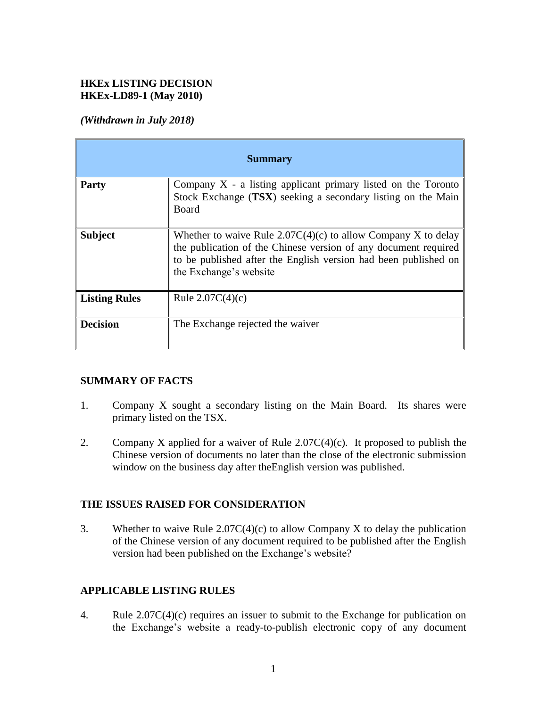# **HKEx LISTING DECISION HKEx-LD89-1 (May 2010)**

### *(Withdrawn in July 2018)*

| <b>Summary</b>       |                                                                                                                                                                                                                                 |
|----------------------|---------------------------------------------------------------------------------------------------------------------------------------------------------------------------------------------------------------------------------|
| <b>Party</b>         | Company $X$ - a listing applicant primary listed on the Toronto<br>Stock Exchange (TSX) seeking a secondary listing on the Main<br>Board                                                                                        |
| <b>Subject</b>       | Whether to waive Rule $2.07C(4)(c)$ to allow Company X to delay<br>the publication of the Chinese version of any document required<br>to be published after the English version had been published on<br>the Exchange's website |
| <b>Listing Rules</b> | Rule $2.07C(4)(c)$                                                                                                                                                                                                              |
| <b>Decision</b>      | The Exchange rejected the waiver                                                                                                                                                                                                |

# **SUMMARY OF FACTS**

- 1. Company X sought a secondary listing on the Main Board. Its shares were primary listed on the TSX.
- 2. Company X applied for a waiver of Rule  $2.07C(4)(c)$ . It proposed to publish the Chinese version of documents no later than the close of the electronic submission window on the business day after theEnglish version was published.

#### **THE ISSUES RAISED FOR CONSIDERATION**

3. Whether to waive Rule 2.07C(4)(c) to allow Company X to delay the publication of the Chinese version of any document required to be published after the English version had been published on the Exchange's website?

# **APPLICABLE LISTING RULES**

4. Rule 2.07C(4)(c) requires an issuer to submit to the Exchange for publication on the Exchange's website a ready-to-publish electronic copy of any document